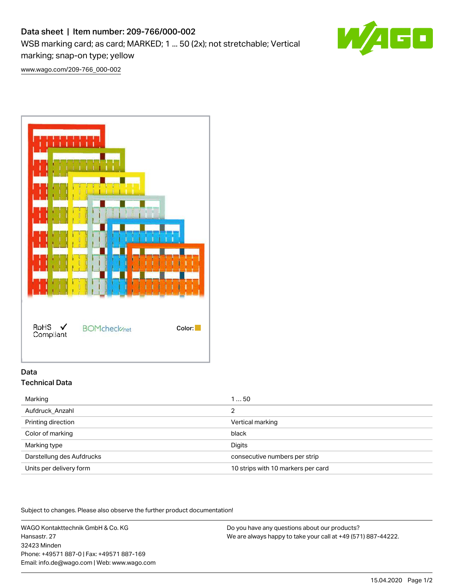# Data sheet | Item number: 209-766/000-002 WSB marking card; as card; MARKED; 1 ... 50 (2x); not stretchable; Vertical marking; snap-on type; yellow



[www.wago.com/209-766\\_000-002](http://www.wago.com/209-766_000-002)



## Data Technical Data

| Marking                   | 150                                |
|---------------------------|------------------------------------|
| Aufdruck Anzahl           | っ                                  |
| Printing direction        | Vertical marking                   |
| Color of marking          | black                              |
| Marking type              | Digits                             |
| Darstellung des Aufdrucks | consecutive numbers per strip      |
| Units per delivery form   | 10 strips with 10 markers per card |
|                           |                                    |

Subject to changes. Please also observe the further product documentation!

WAGO Kontakttechnik GmbH & Co. KG Hansastr. 27 32423 Minden Phone: +49571 887-0 | Fax: +49571 887-169 Email: info.de@wago.com | Web: www.wago.com

Do you have any questions about our products? We are always happy to take your call at +49 (571) 887-44222.